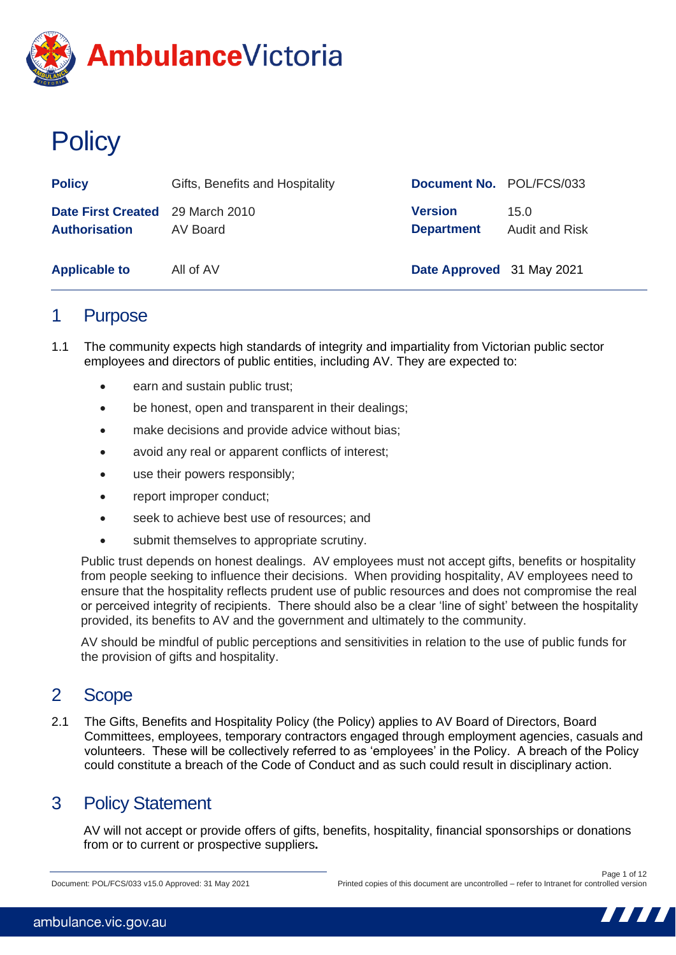

# **Policy**

| <b>Policy</b>                                            | Gifts, Benefits and Hospitality | Document No. POL/FCS/033            |                               |
|----------------------------------------------------------|---------------------------------|-------------------------------------|-------------------------------|
| Date First Created 29 March 2010<br><b>Authorisation</b> | AV Board                        | <b>Version</b><br><b>Department</b> | 15.0<br><b>Audit and Risk</b> |
| <b>Applicable to</b>                                     | All of AV                       | Date Approved 31 May 2021           |                               |

### 1 Purpose

- 1.1 The community expects high standards of integrity and impartiality from Victorian public sector employees and directors of public entities, including AV. They are expected to:
	- earn and sustain public trust;
	- be honest, open and transparent in their dealings;
	- make decisions and provide advice without bias;
	- avoid any real or apparent conflicts of interest;
	- use their powers responsibly;
	- report improper conduct:
	- seek to achieve best use of resources; and
	- submit themselves to appropriate scrutiny.

Public trust depends on honest dealings. AV employees must not accept gifts, benefits or hospitality from people seeking to influence their decisions. When providing hospitality, AV employees need to ensure that the hospitality reflects prudent use of public resources and does not compromise the real or perceived integrity of recipients. There should also be a clear 'line of sight' between the hospitality provided, its benefits to AV and the government and ultimately to the community.

AV should be mindful of public perceptions and sensitivities in relation to the use of public funds for the provision of gifts and hospitality.

### 2 Scope

2.1 The Gifts, Benefits and Hospitality Policy (the Policy) applies to AV Board of Directors, Board Committees, employees, temporary contractors engaged through employment agencies, casuals and volunteers. These will be collectively referred to as 'employees' in the Policy. A breach of the Policy could constitute a breach of the Code of Conduct and as such could result in disciplinary action.

### 3 Policy Statement

AV will not accept or provide offers of gifts, benefits, hospitality, financial sponsorships or donations from or to current or prospective suppliers**.**

Document: POL/FCS/033 v15.0 Approved: 31 May 2021

Page 1 of 12 Printed copies of this document are uncontrolled – refer to Intranet for controlled version

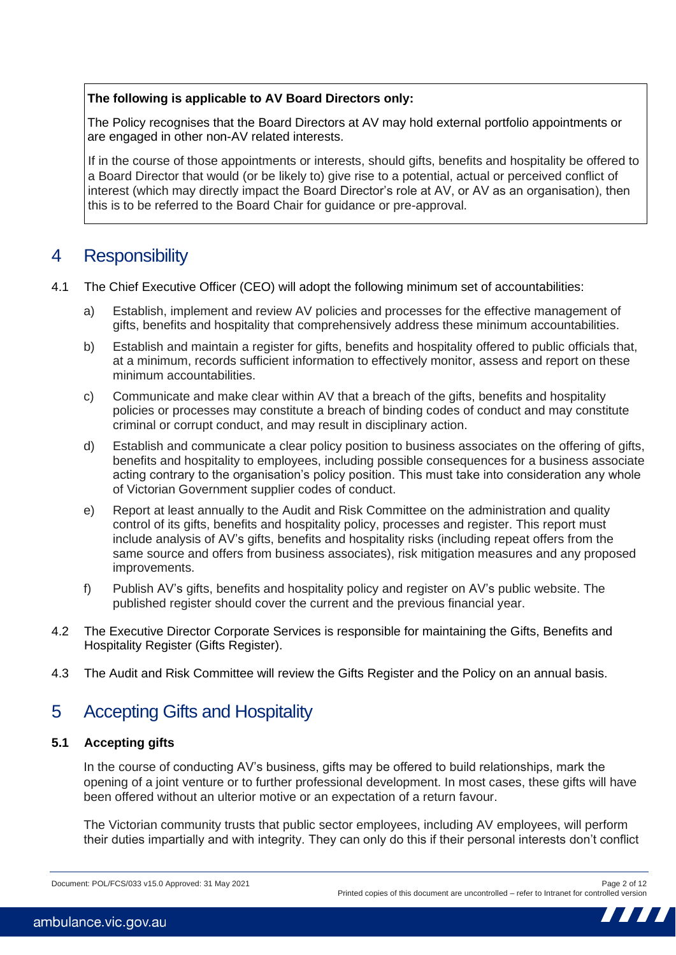### **The following is applicable to AV Board Directors only:**

The Policy recognises that the Board Directors at AV may hold external portfolio appointments or are engaged in other non-AV related interests.

If in the course of those appointments or interests, should gifts, benefits and hospitality be offered to a Board Director that would (or be likely to) give rise to a potential, actual or perceived conflict of interest (which may directly impact the Board Director's role at AV, or AV as an organisation), then this is to be referred to the Board Chair for guidance or pre-approval.

### 4 Responsibility

- 4.1 The Chief Executive Officer (CEO) will adopt the following minimum set of accountabilities:
	- a) Establish, implement and review AV policies and processes for the effective management of gifts, benefits and hospitality that comprehensively address these minimum accountabilities.
	- b) Establish and maintain a register for gifts, benefits and hospitality offered to public officials that, at a minimum, records sufficient information to effectively monitor, assess and report on these minimum accountabilities.
	- c) Communicate and make clear within AV that a breach of the gifts, benefits and hospitality policies or processes may constitute a breach of binding codes of conduct and may constitute criminal or corrupt conduct, and may result in disciplinary action.
	- d) Establish and communicate a clear policy position to business associates on the offering of gifts, benefits and hospitality to employees, including possible consequences for a business associate acting contrary to the organisation's policy position. This must take into consideration any whole of Victorian Government supplier codes of conduct.
	- e) Report at least annually to the Audit and Risk Committee on the administration and quality control of its gifts, benefits and hospitality policy, processes and register. This report must include analysis of AV's gifts, benefits and hospitality risks (including repeat offers from the same source and offers from business associates), risk mitigation measures and any proposed improvements.
	- f) Publish AV's gifts, benefits and hospitality policy and register on AV's public website. The published register should cover the current and the previous financial year.
- 4.2 The Executive Director Corporate Services is responsible for maintaining the Gifts, Benefits and Hospitality Register (Gifts Register).
- 4.3 The Audit and Risk Committee will review the Gifts Register and the Policy on an annual basis.

### 5 Accepting Gifts and Hospitality

### **5.1 Accepting gifts**

In the course of conducting AV's business, gifts may be offered to build relationships, mark the opening of a joint venture or to further professional development. In most cases, these gifts will have been offered without an ulterior motive or an expectation of a return favour.

The Victorian community trusts that public sector employees, including AV employees, will perform their duties impartially and with integrity. They can only do this if their personal interests don't conflict

Document: POL/FCS/033 v15.0 Approved: 31 May 2021 Page 2 of 12

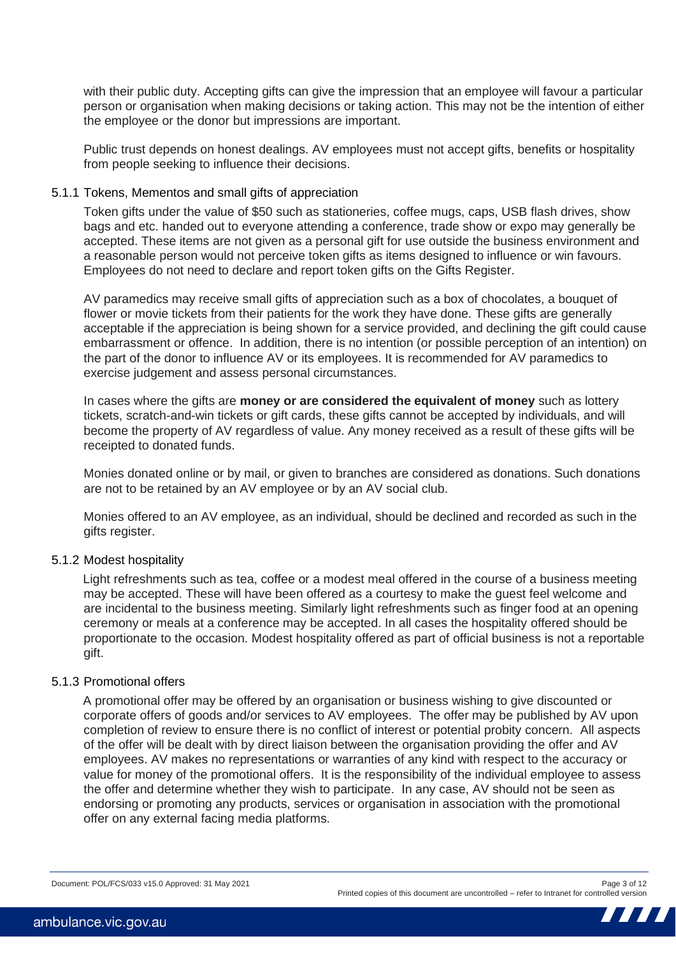with their public duty. Accepting gifts can give the impression that an employee will favour a particular person or organisation when making decisions or taking action. This may not be the intention of either the employee or the donor but impressions are important.

Public trust depends on honest dealings. AV employees must not accept gifts, benefits or hospitality from people seeking to influence their decisions.

### 5.1.1 Tokens, Mementos and small gifts of appreciation

Token gifts under the value of \$50 such as stationeries, coffee mugs, caps, USB flash drives, show bags and etc. handed out to everyone attending a conference, trade show or expo may generally be accepted. These items are not given as a personal gift for use outside the business environment and a reasonable person would not perceive token gifts as items designed to influence or win favours. Employees do not need to declare and report token gifts on the Gifts Register.

AV paramedics may receive small gifts of appreciation such as a box of chocolates, a bouquet of flower or movie tickets from their patients for the work they have done. These gifts are generally acceptable if the appreciation is being shown for a service provided, and declining the gift could cause embarrassment or offence. In addition, there is no intention (or possible perception of an intention) on the part of the donor to influence AV or its employees. It is recommended for AV paramedics to exercise judgement and assess personal circumstances.

In cases where the gifts are **money or are considered the equivalent of money** such as lottery tickets, scratch-and-win tickets or gift cards, these gifts cannot be accepted by individuals, and will become the property of AV regardless of value. Any money received as a result of these gifts will be receipted to donated funds.

Monies donated online or by mail, or given to branches are considered as donations. Such donations are not to be retained by an AV employee or by an AV social club.

Monies offered to an AV employee, as an individual, should be declined and recorded as such in the gifts register.

### 5.1.2 Modest hospitality

Light refreshments such as tea, coffee or a modest meal offered in the course of a business meeting may be accepted. These will have been offered as a courtesy to make the guest feel welcome and are incidental to the business meeting. Similarly light refreshments such as finger food at an opening ceremony or meals at a conference may be accepted. In all cases the hospitality offered should be proportionate to the occasion. Modest hospitality offered as part of official business is not a reportable gift.

### 5.1.3 Promotional offers

A promotional offer may be offered by an organisation or business wishing to give discounted or corporate offers of goods and/or services to AV employees. The offer may be published by AV upon completion of review to ensure there is no conflict of interest or potential probity concern. All aspects of the offer will be dealt with by direct liaison between the organisation providing the offer and AV employees. AV makes no representations or warranties of any kind with respect to the accuracy or value for money of the promotional offers. It is the responsibility of the individual employee to assess the offer and determine whether they wish to participate. In any case, AV should not be seen as endorsing or promoting any products, services or organisation in association with the promotional offer on any external facing media platforms.

Document: POL/FCS/033 v15.0 Approved: 31 May 2021 Page 3 of 12

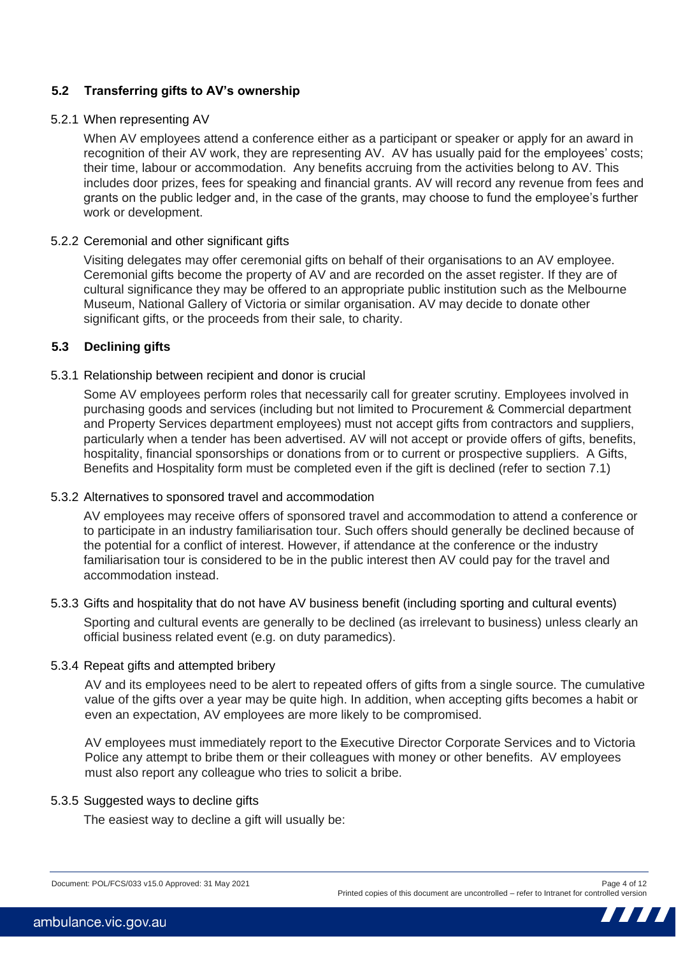### **5.2 Transferring gifts to AV's ownership**

#### 5.2.1 When representing AV

When AV employees attend a conference either as a participant or speaker or apply for an award in recognition of their AV work, they are representing AV. AV has usually paid for the employees' costs; their time, labour or accommodation. Any benefits accruing from the activities belong to AV. This includes door prizes, fees for speaking and financial grants. AV will record any revenue from fees and grants on the public ledger and, in the case of the grants, may choose to fund the employee's further work or development.

### 5.2.2 Ceremonial and other significant gifts

Visiting delegates may offer ceremonial gifts on behalf of their organisations to an AV employee. Ceremonial gifts become the property of AV and are recorded on the asset register. If they are of cultural significance they may be offered to an appropriate public institution such as the Melbourne Museum, National Gallery of Victoria or similar organisation. AV may decide to donate other significant gifts, or the proceeds from their sale, to charity.

### **5.3 Declining gifts**

### 5.3.1 Relationship between recipient and donor is crucial

Some AV employees perform roles that necessarily call for greater scrutiny. Employees involved in purchasing goods and services (including but not limited to Procurement & Commercial department and Property Services department employees) must not accept gifts from contractors and suppliers, particularly when a tender has been advertised. AV will not accept or provide offers of gifts, benefits, hospitality, financial sponsorships or donations from or to current or prospective suppliers. A Gifts, Benefits and Hospitality form must be completed even if the gift is declined (refer to section 7.1)

#### 5.3.2 Alternatives to sponsored travel and accommodation

AV employees may receive offers of sponsored travel and accommodation to attend a conference or to participate in an industry familiarisation tour. Such offers should generally be declined because of the potential for a conflict of interest. However, if attendance at the conference or the industry familiarisation tour is considered to be in the public interest then AV could pay for the travel and accommodation instead.

#### 5.3.3 Gifts and hospitality that do not have AV business benefit (including sporting and cultural events)

Sporting and cultural events are generally to be declined (as irrelevant to business) unless clearly an official business related event (e.g. on duty paramedics).

#### 5.3.4 Repeat gifts and attempted bribery

AV and its employees need to be alert to repeated offers of gifts from a single source. The cumulative value of the gifts over a year may be quite high. In addition, when accepting gifts becomes a habit or even an expectation, AV employees are more likely to be compromised.

AV employees must immediately report to the Executive Director Corporate Services and to Victoria Police any attempt to bribe them or their colleagues with money or other benefits. AV employees must also report any colleague who tries to solicit a bribe.

### 5.3.5 Suggested ways to decline gifts

The easiest way to decline a gift will usually be:

Document: POL/FCS/033 v15.0 Approved: 31 May 2021 Page 4 of 12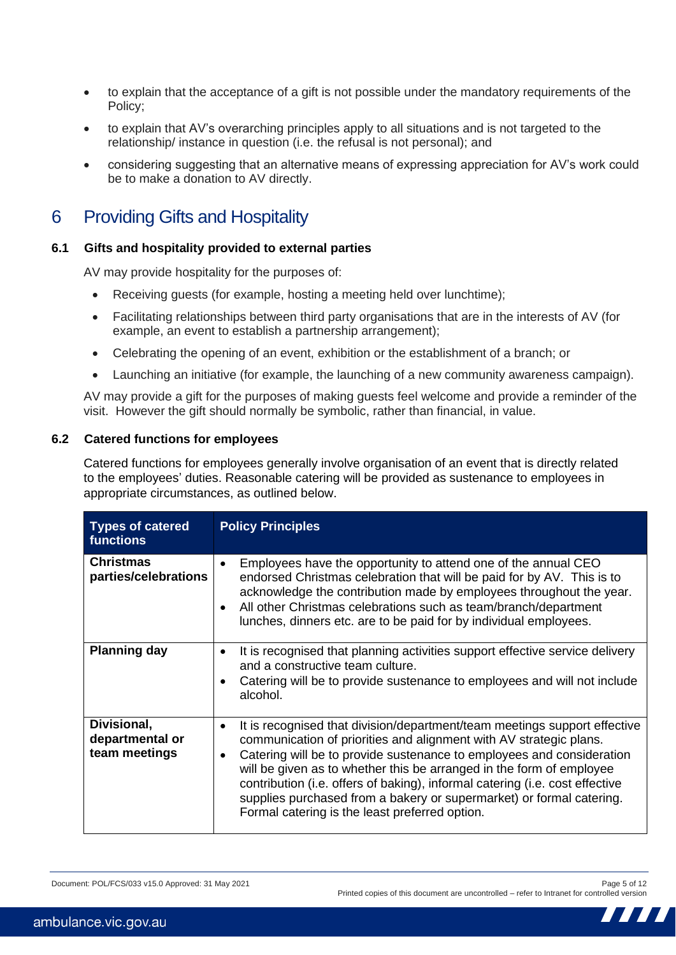- to explain that the acceptance of a gift is not possible under the mandatory requirements of the Policy;
- to explain that AV's overarching principles apply to all situations and is not targeted to the relationship/ instance in question (i.e. the refusal is not personal); and
- considering suggesting that an alternative means of expressing appreciation for AV's work could be to make a donation to AV directly.

## 6 Providing Gifts and Hospitality

### **6.1 Gifts and hospitality provided to external parties**

AV may provide hospitality for the purposes of:

- Receiving quests (for example, hosting a meeting held over lunchtime);
- Facilitating relationships between third party organisations that are in the interests of AV (for example, an event to establish a partnership arrangement);
- Celebrating the opening of an event, exhibition or the establishment of a branch; or
- Launching an initiative (for example, the launching of a new community awareness campaign).

AV may provide a gift for the purposes of making guests feel welcome and provide a reminder of the visit. However the gift should normally be symbolic, rather than financial, in value.

### **6.2 Catered functions for employees**

Catered functions for employees generally involve organisation of an event that is directly related to the employees' duties. Reasonable catering will be provided as sustenance to employees in appropriate circumstances, as outlined below.

| <b>Types of catered</b><br><b>functions</b>     | <b>Policy Principles</b>                                                                                                                                                                                                                                                                                                                                                                                                                                                                                                     |
|-------------------------------------------------|------------------------------------------------------------------------------------------------------------------------------------------------------------------------------------------------------------------------------------------------------------------------------------------------------------------------------------------------------------------------------------------------------------------------------------------------------------------------------------------------------------------------------|
| <b>Christmas</b><br>parties/celebrations        | Employees have the opportunity to attend one of the annual CEO<br>$\bullet$<br>endorsed Christmas celebration that will be paid for by AV. This is to<br>acknowledge the contribution made by employees throughout the year.<br>All other Christmas celebrations such as team/branch/department<br>$\bullet$<br>lunches, dinners etc. are to be paid for by individual employees.                                                                                                                                            |
| <b>Planning day</b>                             | It is recognised that planning activities support effective service delivery<br>$\bullet$<br>and a constructive team culture.<br>Catering will be to provide sustenance to employees and will not include<br>alcohol.                                                                                                                                                                                                                                                                                                        |
| Divisional,<br>departmental or<br>team meetings | It is recognised that division/department/team meetings support effective<br>$\bullet$<br>communication of priorities and alignment with AV strategic plans.<br>Catering will be to provide sustenance to employees and consideration<br>٠<br>will be given as to whether this be arranged in the form of employee<br>contribution (i.e. offers of baking), informal catering (i.e. cost effective<br>supplies purchased from a bakery or supermarket) or formal catering.<br>Formal catering is the least preferred option. |

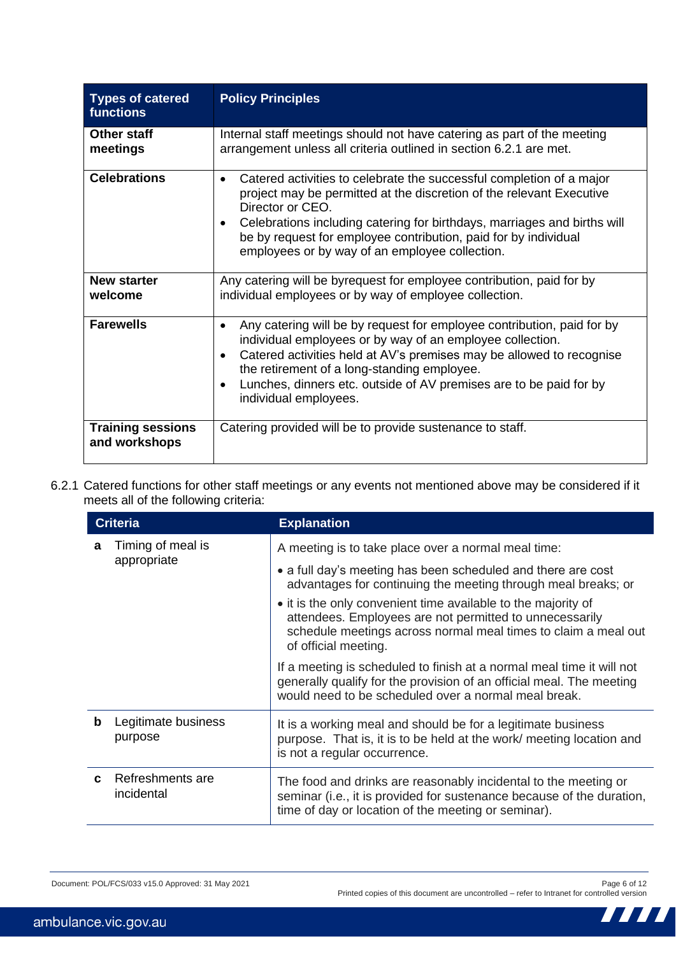| <b>Types of catered</b><br><b>functions</b> | <b>Policy Principles</b>                                                                                                                                                                                                                                                                                                                                                                         |
|---------------------------------------------|--------------------------------------------------------------------------------------------------------------------------------------------------------------------------------------------------------------------------------------------------------------------------------------------------------------------------------------------------------------------------------------------------|
| Other staff<br>meetings                     | Internal staff meetings should not have catering as part of the meeting<br>arrangement unless all criteria outlined in section 6.2.1 are met.                                                                                                                                                                                                                                                    |
| <b>Celebrations</b>                         | Catered activities to celebrate the successful completion of a major<br>$\bullet$<br>project may be permitted at the discretion of the relevant Executive<br>Director or CEO.<br>Celebrations including catering for birthdays, marriages and births will<br>be by request for employee contribution, paid for by individual<br>employees or by way of an employee collection.                   |
| <b>New starter</b><br>welcome               | Any catering will be byrequest for employee contribution, paid for by<br>individual employees or by way of employee collection.                                                                                                                                                                                                                                                                  |
| <b>Farewells</b>                            | Any catering will be by request for employee contribution, paid for by<br>$\bullet$<br>individual employees or by way of an employee collection.<br>Catered activities held at AV's premises may be allowed to recognise<br>$\bullet$<br>the retirement of a long-standing employee.<br>Lunches, dinners etc. outside of AV premises are to be paid for by<br>$\bullet$<br>individual employees. |
| <b>Training sessions</b><br>and workshops   | Catering provided will be to provide sustenance to staff.                                                                                                                                                                                                                                                                                                                                        |

6.2.1 Catered functions for other staff meetings or any events not mentioned above may be considered if it meets all of the following criteria:

|                        | <b>Criteria</b>                | <b>Explanation</b>                                                                                                                                                                                                 |
|------------------------|--------------------------------|--------------------------------------------------------------------------------------------------------------------------------------------------------------------------------------------------------------------|
| Timing of meal is<br>a |                                | A meeting is to take place over a normal meal time:                                                                                                                                                                |
|                        | appropriate                    | • a full day's meeting has been scheduled and there are cost<br>advantages for continuing the meeting through meal breaks; or                                                                                      |
|                        |                                | • it is the only convenient time available to the majority of<br>attendees. Employees are not permitted to unnecessarily<br>schedule meetings across normal meal times to claim a meal out<br>of official meeting. |
|                        |                                | If a meeting is scheduled to finish at a normal meal time it will not<br>generally qualify for the provision of an official meal. The meeting<br>would need to be scheduled over a normal meal break.              |
| b                      | Legitimate business<br>purpose | It is a working meal and should be for a legitimate business<br>purpose. That is, it is to be held at the work/ meeting location and<br>is not a regular occurrence.                                               |
|                        | Refreshments are<br>incidental | The food and drinks are reasonably incidental to the meeting or<br>seminar (i.e., it is provided for sustenance because of the duration,<br>time of day or location of the meeting or seminar).                    |

Document: POL/FCS/033 v15.0 Approved: 31 May 2021 Page 6 of 12

Printed copies of this document are uncontrolled – refer to Intranet for controlled version

Ш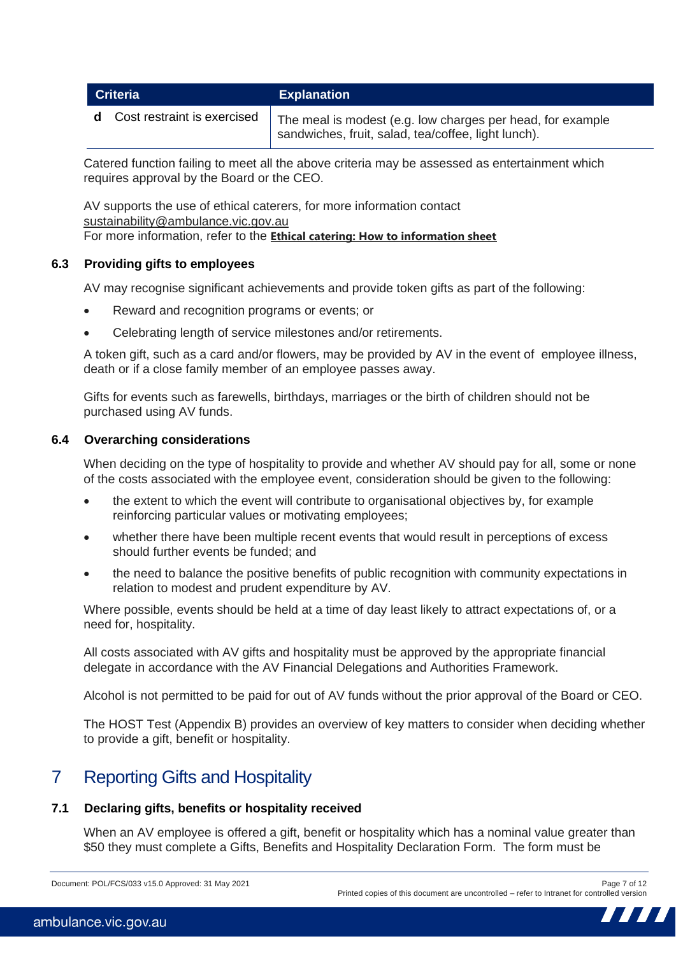| <b>Criteria</b>                      | <b>Explanation</b>                                                                                                |
|--------------------------------------|-------------------------------------------------------------------------------------------------------------------|
| <b>d</b> Cost restraint is exercised | The meal is modest (e.g. low charges per head, for example<br>sandwiches, fruit, salad, tea/coffee, light lunch). |

Catered function failing to meet all the above criteria may be assessed as entertainment which requires approval by the Board or the CEO.

AV supports the use of ethical caterers, for more information contact [sustainability@ambulance.vic.gov.au](mailto:sustainability@ambulance.vic.gov.au) For more information, refer to the **[Ethical catering: How to information sheet](https://intranet.ambulance.vic.gov.au/sites/Teams/coo/sustainability/_layouts/15/WopiFrame.aspx?sourcedoc=/sites/Teams/coo/sustainability/Lists/Sustainability%20Matters/Attachments/21/Ethical%20catering%20AV%20how%20to%20info%20sheet%202021.pdf&action=default)**

### **6.3 Providing gifts to employees**

AV may recognise significant achievements and provide token gifts as part of the following:

- Reward and recognition programs or events; or
- Celebrating length of service milestones and/or retirements.

A token gift, such as a card and/or flowers, may be provided by AV in the event of employee illness, death or if a close family member of an employee passes away.

Gifts for events such as farewells, birthdays, marriages or the birth of children should not be purchased using AV funds.

### **6.4 Overarching considerations**

When deciding on the type of hospitality to provide and whether AV should pay for all, some or none of the costs associated with the employee event, consideration should be given to the following:

- the extent to which the event will contribute to organisational objectives by, for example reinforcing particular values or motivating employees;
- whether there have been multiple recent events that would result in perceptions of excess should further events be funded; and
- the need to balance the positive benefits of public recognition with community expectations in relation to modest and prudent expenditure by AV.

Where possible, events should be held at a time of day least likely to attract expectations of, or a need for, hospitality.

All costs associated with AV gifts and hospitality must be approved by the appropriate financial delegate in accordance with the AV Financial Delegations and Authorities Framework.

Alcohol is not permitted to be paid for out of AV funds without the prior approval of the Board or CEO.

The HOST Test (Appendix B) provides an overview of key matters to consider when deciding whether to provide a gift, benefit or hospitality.

# 7 Reporting Gifts and Hospitality

### **7.1 Declaring gifts, benefits or hospitality received**

When an AV employee is offered a gift, benefit or hospitality which has a nominal value greater than \$50 they must complete a Gifts, Benefits and Hospitality Declaration Form. The form must be

Document: POL/FCS/033 v15.0 Approved: 31 May 2021 Page 7 of 12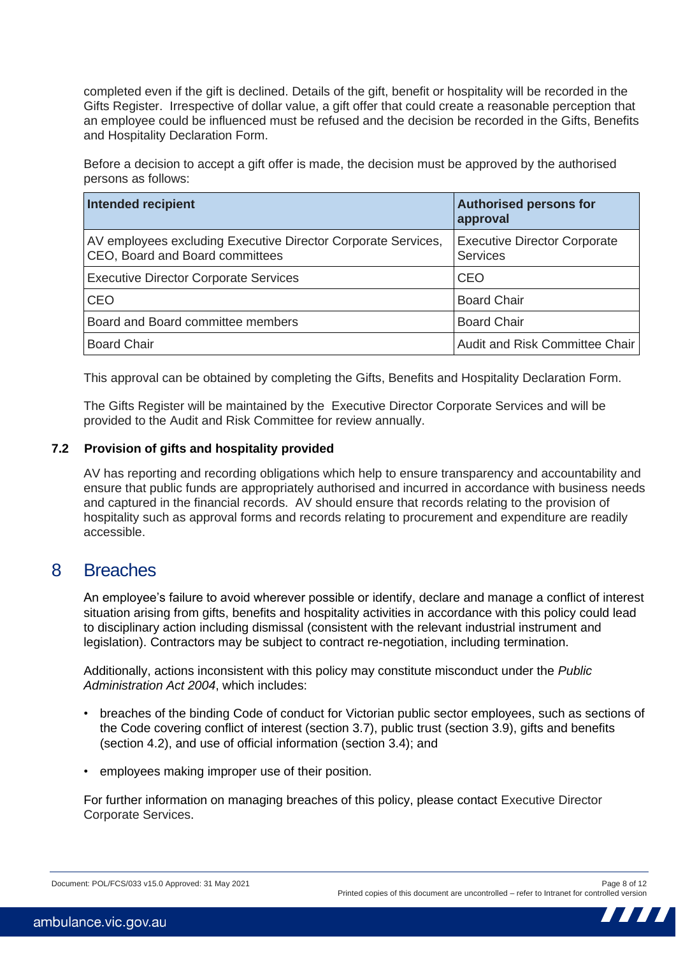completed even if the gift is declined. Details of the gift, benefit or hospitality will be recorded in the Gifts Register. Irrespective of dollar value, a gift offer that could create a reasonable perception that an employee could be influenced must be refused and the decision be recorded in the Gifts, Benefits and Hospitality Declaration Form.

Before a decision to accept a gift offer is made, the decision must be approved by the authorised persons as follows:

| Intended recipient                                                                               | <b>Authorised persons for</b><br>approval              |
|--------------------------------------------------------------------------------------------------|--------------------------------------------------------|
| AV employees excluding Executive Director Corporate Services,<br>CEO, Board and Board committees | <b>Executive Director Corporate</b><br><b>Services</b> |
| <b>Executive Director Corporate Services</b>                                                     | <b>CEO</b>                                             |
| <b>CEO</b>                                                                                       | <b>Board Chair</b>                                     |
| Board and Board committee members                                                                | <b>Board Chair</b>                                     |
| <b>Board Chair</b>                                                                               | Audit and Risk Committee Chair                         |

This approval can be obtained by completing the Gifts, Benefits and Hospitality Declaration Form.

The Gifts Register will be maintained by the Executive Director Corporate Services and will be provided to the Audit and Risk Committee for review annually.

### **7.2 Provision of gifts and hospitality provided**

AV has reporting and recording obligations which help to ensure transparency and accountability and ensure that public funds are appropriately authorised and incurred in accordance with business needs and captured in the financial records. AV should ensure that records relating to the provision of hospitality such as approval forms and records relating to procurement and expenditure are readily accessible.

### 8 Breaches

An employee's failure to avoid wherever possible or identify, declare and manage a conflict of interest situation arising from gifts, benefits and hospitality activities in accordance with this policy could lead to disciplinary action including dismissal (consistent with the relevant industrial instrument and legislation). Contractors may be subject to contract re-negotiation, including termination.

Additionally, actions inconsistent with this policy may constitute misconduct under the *Public Administration Act 2004*, which includes:

- breaches of the binding Code of conduct for Victorian public sector employees, such as sections of the Code covering conflict of interest (section 3.7), public trust (section 3.9), gifts and benefits (section 4.2), and use of official information (section 3.4); and
- employees making improper use of their position.

For further information on managing breaches of this policy, please contact Executive Director Corporate Services.

Document: POL/FCS/033 v15.0 Approved: 31 May 2021 Page 8 of 12

Printed copies of this document are uncontrolled – refer to Intranet for controlled version

777 T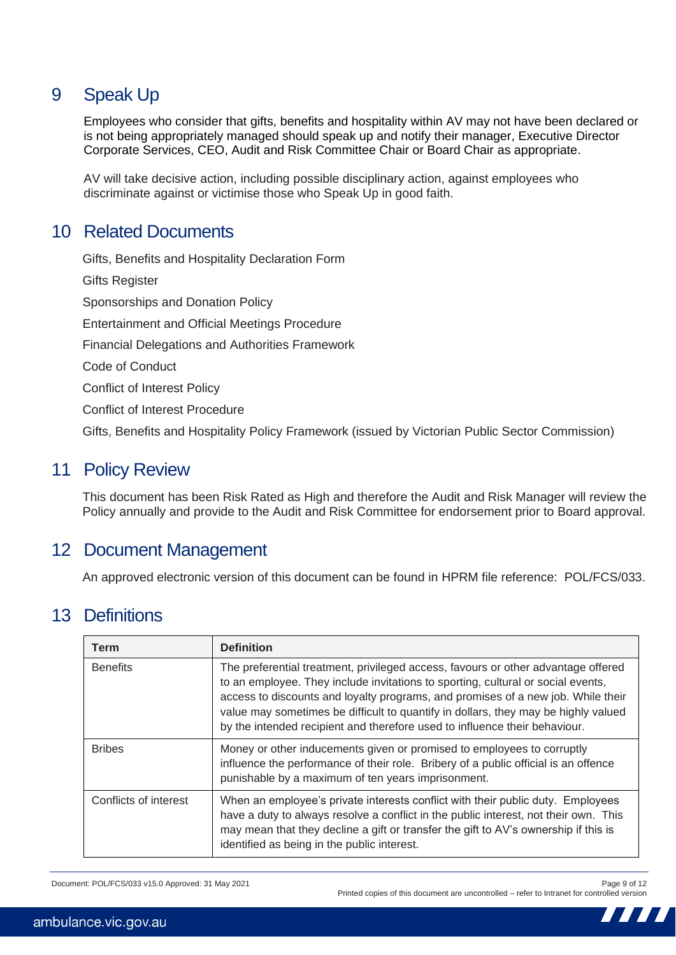# 9 Speak Up

Employees who consider that gifts, benefits and hospitality within AV may not have been declared or is not being appropriately managed should speak up and notify their manager, Executive Director Corporate Services, CEO, Audit and Risk Committee Chair or Board Chair as appropriate.

AV will take decisive action, including possible disciplinary action, against employees who discriminate against or victimise those who Speak Up in good faith.

### 10 Related Documents

Gifts, Benefits and Hospitality Declaration Form Gifts Register Sponsorships and Donation Policy Entertainment and Official Meetings Procedure Financial Delegations and Authorities Framework Code of Conduct Conflict of Interest Policy Conflict of Interest Procedure Gifts, Benefits and Hospitality Policy Framework (issued by Victorian Public Sector Commission)

### 11 Policy Review

This document has been Risk Rated as High and therefore the Audit and Risk Manager will review the Policy annually and provide to the Audit and Risk Committee for endorsement prior to Board approval.

### 12 Document Management

An approved electronic version of this document can be found in HPRM file reference: POL/FCS/033.

### 13 Definitions

| Term                  | <b>Definition</b>                                                                                                                                                                                                                                                                                                                                                                                                             |
|-----------------------|-------------------------------------------------------------------------------------------------------------------------------------------------------------------------------------------------------------------------------------------------------------------------------------------------------------------------------------------------------------------------------------------------------------------------------|
| <b>Benefits</b>       | The preferential treatment, privileged access, favours or other advantage offered<br>to an employee. They include invitations to sporting, cultural or social events,<br>access to discounts and loyalty programs, and promises of a new job. While their<br>value may sometimes be difficult to quantify in dollars, they may be highly valued<br>by the intended recipient and therefore used to influence their behaviour. |
| <b>Bribes</b>         | Money or other inducements given or promised to employees to corruptly<br>influence the performance of their role. Bribery of a public official is an offence<br>punishable by a maximum of ten years imprisonment.                                                                                                                                                                                                           |
| Conflicts of interest | When an employee's private interests conflict with their public duty. Employees<br>have a duty to always resolve a conflict in the public interest, not their own. This<br>may mean that they decline a gift or transfer the gift to AV's ownership if this is<br>identified as being in the public interest.                                                                                                                 |

Document: POL/FCS/033 v15.0 Approved: 31 May 2021 Page 9 of 12

Printed copies of this document are uncontrolled – refer to Intranet for controlled version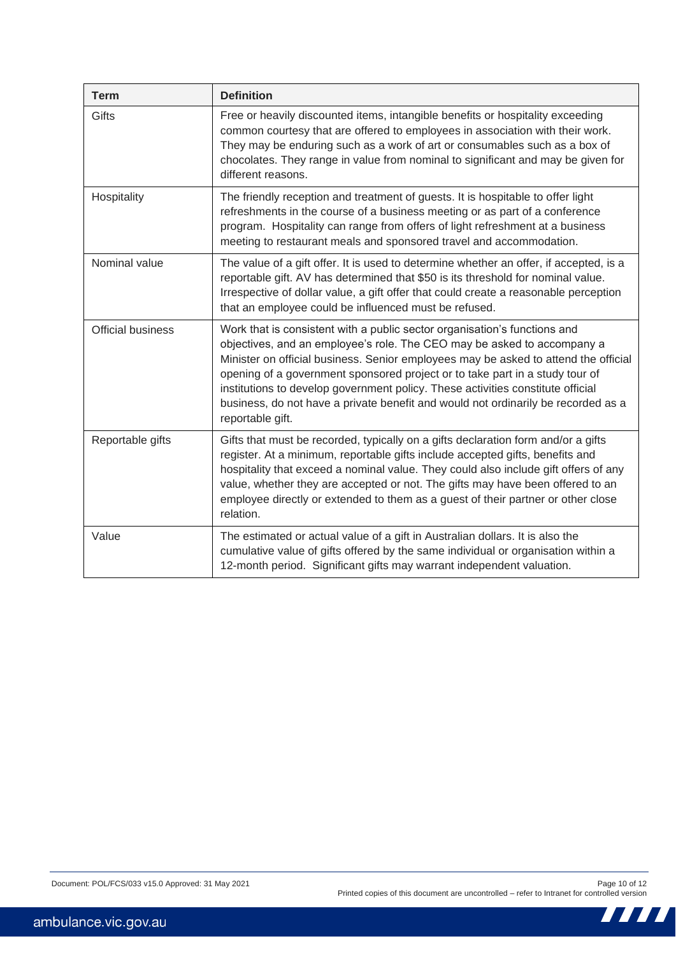| <b>Term</b>              | <b>Definition</b>                                                                                                                                                                                                                                                                                                                                                                                                                                                                                                       |
|--------------------------|-------------------------------------------------------------------------------------------------------------------------------------------------------------------------------------------------------------------------------------------------------------------------------------------------------------------------------------------------------------------------------------------------------------------------------------------------------------------------------------------------------------------------|
| Gifts                    | Free or heavily discounted items, intangible benefits or hospitality exceeding<br>common courtesy that are offered to employees in association with their work.<br>They may be enduring such as a work of art or consumables such as a box of<br>chocolates. They range in value from nominal to significant and may be given for<br>different reasons.                                                                                                                                                                 |
| Hospitality              | The friendly reception and treatment of guests. It is hospitable to offer light<br>refreshments in the course of a business meeting or as part of a conference<br>program. Hospitality can range from offers of light refreshment at a business<br>meeting to restaurant meals and sponsored travel and accommodation.                                                                                                                                                                                                  |
| Nominal value            | The value of a gift offer. It is used to determine whether an offer, if accepted, is a<br>reportable gift. AV has determined that \$50 is its threshold for nominal value.<br>Irrespective of dollar value, a gift offer that could create a reasonable perception<br>that an employee could be influenced must be refused.                                                                                                                                                                                             |
| <b>Official business</b> | Work that is consistent with a public sector organisation's functions and<br>objectives, and an employee's role. The CEO may be asked to accompany a<br>Minister on official business. Senior employees may be asked to attend the official<br>opening of a government sponsored project or to take part in a study tour of<br>institutions to develop government policy. These activities constitute official<br>business, do not have a private benefit and would not ordinarily be recorded as a<br>reportable gift. |
| Reportable gifts         | Gifts that must be recorded, typically on a gifts declaration form and/or a gifts<br>register. At a minimum, reportable gifts include accepted gifts, benefits and<br>hospitality that exceed a nominal value. They could also include gift offers of any<br>value, whether they are accepted or not. The gifts may have been offered to an<br>employee directly or extended to them as a guest of their partner or other close<br>relation.                                                                            |
| Value                    | The estimated or actual value of a gift in Australian dollars. It is also the<br>cumulative value of gifts offered by the same individual or organisation within a<br>12-month period. Significant gifts may warrant independent valuation.                                                                                                                                                                                                                                                                             |

**TITLE**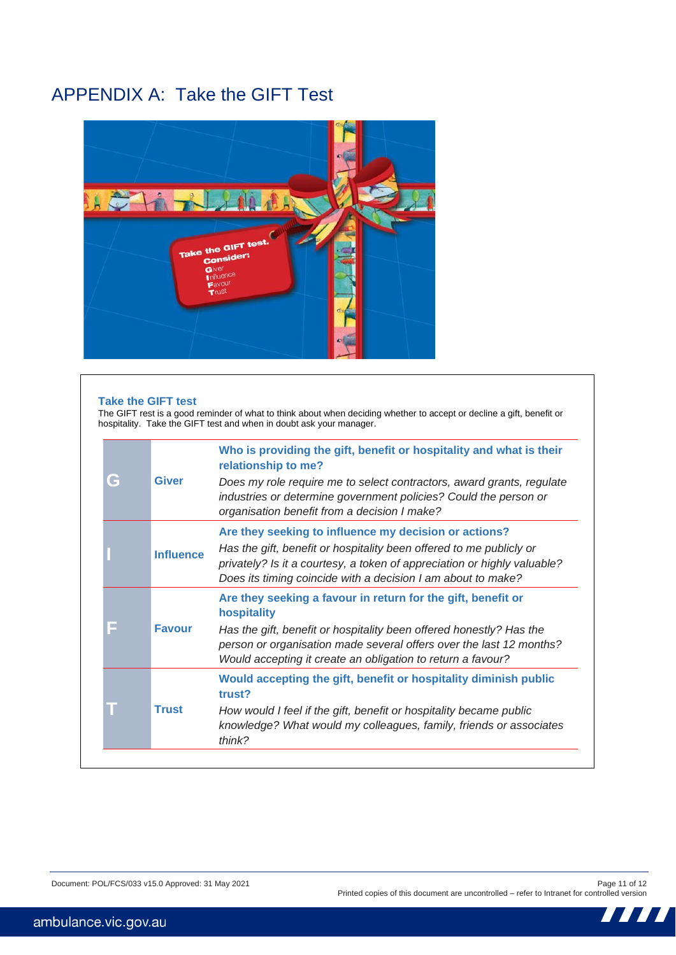# APPENDIX A: Take the GIFT Test



#### **Take the GIFT test**

The GIFT rest is a good reminder of what to think about when deciding whether to accept or decline a gift, benefit or hospitality. Take the GIFT test and when in doubt ask your manager.

|               |                  | Who is providing the gift, benefit or hospitality and what is their<br>relationship to me?                                                                                                                      |
|---------------|------------------|-----------------------------------------------------------------------------------------------------------------------------------------------------------------------------------------------------------------|
| G             | <b>Giver</b>     | Does my role require me to select contractors, award grants, regulate<br>industries or determine government policies? Could the person or<br>organisation benefit from a decision I make?                       |
|               |                  | Are they seeking to influence my decision or actions?                                                                                                                                                           |
|               | <b>Influence</b> | Has the gift, benefit or hospitality been offered to me publicly or<br>privately? Is it a courtesy, a token of appreciation or highly valuable?<br>Does its timing coincide with a decision I am about to make? |
| <b>Favour</b> |                  | Are they seeking a favour in return for the gift, benefit or<br>hospitality                                                                                                                                     |
|               |                  | Has the gift, benefit or hospitality been offered honestly? Has the<br>person or organisation made several offers over the last 12 months?<br>Would accepting it create an obligation to return a favour?       |
|               |                  | Would accepting the gift, benefit or hospitality diminish public<br>trust?                                                                                                                                      |
|               | <b>Trust</b>     | How would I feel if the gift, benefit or hospitality became public<br>knowledge? What would my colleagues, family, friends or associates<br>thin $k$ ?                                                          |

Printed copies of this document are uncontrolled – refer to Intranet for controlled version

Ш